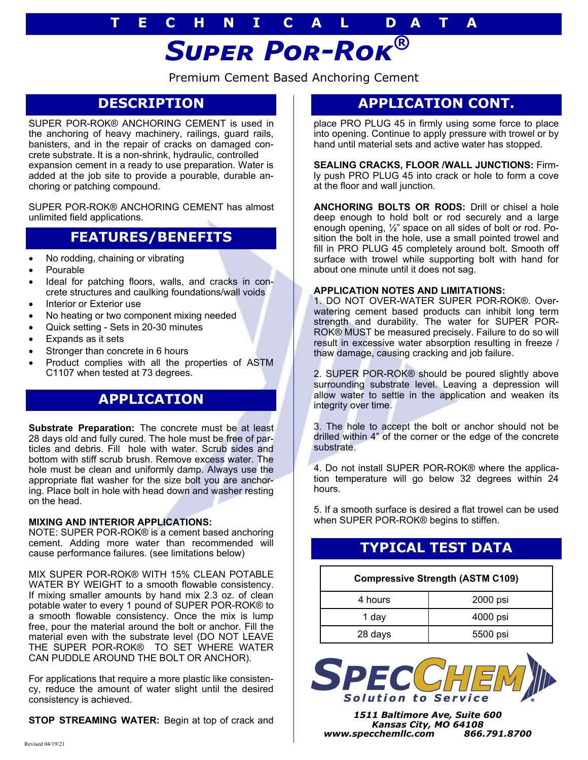# **T E C H N I C A L D A T A**

# *Super Por-Rok®*

Premium Cement Based Anchoring Cement

## **DESCRIPTION**

SUPER POR-ROK® ANCHORING CEMENT is used in the anchoring of heavy machinery, railings, guard rails, banisters, and in the repair of cracks on damaged concrete substrate. It is a non-shrink, hydraulic, controlled expansion cement in a ready to use preparation. Water is added at the job site to provide a pourable, durable anchoring or patching compound.

SUPER POR-ROK® ANCHORING CEMENT has almost unlimited field applications.

## **FEATURES/BENEFITS**

- No rodding, chaining or vibrating
- Pourable
- Ideal for patching floors, walls, and cracks in concrete structures and caulking foundations/wall voids
- Interior or Exterior use
- No heating or two component mixing needed
- Quick setting Sets in 20-30 minutes
- Expands as it sets
- Stronger than concrete in 6 hours
- Product complies with all the properties of ASTM C1107 when tested at 73 degrees.

## **APPLICATION**

**Substrate Preparation:** The concrete must be at least 28 days old and fully cured. The hole must be free of particles and debris. Fill hole with water. Scrub sides and bottom with stiff scrub brush. Remove excess water. The hole must be clean and uniformly damp. Always use the appropriate flat washer for the size bolt you are anchoring. Place bolt in hole with head down and washer resting on the head.

## **MIXING AND INTERIOR APPLICATIONS:**

NOTE: SUPER POR-ROK® is a cement based anchoring cement. Adding more water than recommended will cause performance failures. (see limitations below)

MIX SUPER POR-ROK® WITH 15% CLEAN POTABLE WATER BY WEIGHT to a smooth flowable consistency. If mixing smaller amounts by hand mix 2.3 oz. of clean potable water to every 1 pound of SUPER POR-ROK® to a smooth flowable consistency. Once the mix is lump free, pour the material around the bolt or anchor. Fill the material even with the substrate level (DO NOT LEAVE THE SUPER POR-ROK® TO SET WHERE WATER CAN PUDDLE AROUND THE BOLT OR ANCHOR).

For applications that require a more plastic like consistency, reduce the amount of water slight until the desired consistency is achieved.

**STOP STREAMING WATER:** Begin at top of crack and

## **APPLICATION CONT.**

place PRO PLUG 45 in firmly using some force to place into opening. Continue to apply pressure with trowel or by hand until material sets and active water has stopped.

**SEALING CRACKS, FLOOR /WALL JUNCTIONS:** Firmly push PRO PLUG 45 into crack or hole to form a cove at the floor and wall junction.

**ANCHORING BOLTS OR RODS:** Drill or chisel a hole deep enough to hold bolt or rod securely and a large enough opening, ½" space on all sides of bolt or rod. Position the bolt in the hole, use a small pointed trowel and fill in PRO PLUG 45 completely around bolt. Smooth off surface with trowel while supporting bolt with hand for about one minute until it does not sag.

### **APPLICATION NOTES AND LIMITATIONS:**

1. DO NOT OVER-WATER SUPER POR-ROK®. Overwatering cement based products can inhibit long term strength and durability. The water for SUPER POR-ROK® MUST be measured precisely. Failure to do so will result in excessive water absorption resulting in freeze / thaw damage, causing cracking and job failure.

2. SUPER POR-ROK® should be poured slightly above surrounding substrate level. Leaving a depression will allow water to settle in the application and weaken its integrity over time.

3. The hole to accept the bolt or anchor should not be drilled within 4" of the corner or the edge of the concrete substrate.

4. Do not install SUPER POR-ROK® where the application temperature will go below 32 degrees within 24 hours.

5. If a smooth surface is desired a flat trowel can be used when SUPER POR-ROK® begins to stiffen.

# **TYPICAL TEST DATA**

## **Compressive Strength (ASTM C109)**

| 4 hours | 2000 psi |
|---------|----------|
| 1 day   | 4000 psi |
| 28 days | 5500 psi |



*1511 Baltimore Ave, Suite 600 Kansas City, MO 64108 www.specchemllc.com 866.791.8700*